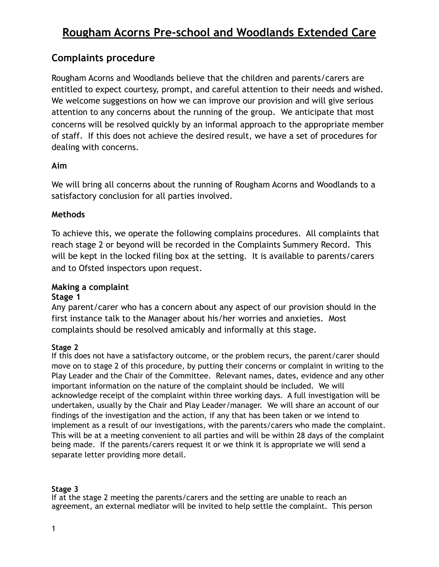## **Rougham Acorns Pre-school and Woodlands Extended Care**

## **Complaints procedure**

Rougham Acorns and Woodlands believe that the children and parents/carers are entitled to expect courtesy, prompt, and careful attention to their needs and wished. We welcome suggestions on how we can improve our provision and will give serious attention to any concerns about the running of the group. We anticipate that most concerns will be resolved quickly by an informal approach to the appropriate member of staff. If this does not achieve the desired result, we have a set of procedures for dealing with concerns.

#### **Aim**

We will bring all concerns about the running of Rougham Acorns and Woodlands to a satisfactory conclusion for all parties involved.

#### **Methods**

To achieve this, we operate the following complains procedures. All complaints that reach stage 2 or beyond will be recorded in the Complaints Summery Record. This will be kept in the locked filing box at the setting. It is available to parents/carers and to Ofsted inspectors upon request.

### **Making a complaint**

#### **Stage 1**

Any parent/carer who has a concern about any aspect of our provision should in the first instance talk to the Manager about his/her worries and anxieties. Most complaints should be resolved amicably and informally at this stage.

#### **Stage 2**

If this does not have a satisfactory outcome, or the problem recurs, the parent/carer should move on to stage 2 of this procedure, by putting their concerns or complaint in writing to the Play Leader and the Chair of the Committee. Relevant names, dates, evidence and any other important information on the nature of the complaint should be included. We will acknowledge receipt of the complaint within three working days. A full investigation will be undertaken, usually by the Chair and Play Leader/manager. We will share an account of our findings of the investigation and the action, if any that has been taken or we intend to implement as a result of our investigations, with the parents/carers who made the complaint. This will be at a meeting convenient to all parties and will be within 28 days of the complaint being made. If the parents/carers request it or we think it is appropriate we will send a separate letter providing more detail.

#### **Stage 3**

If at the stage 2 meeting the parents/carers and the setting are unable to reach an agreement, an external mediator will be invited to help settle the complaint. This person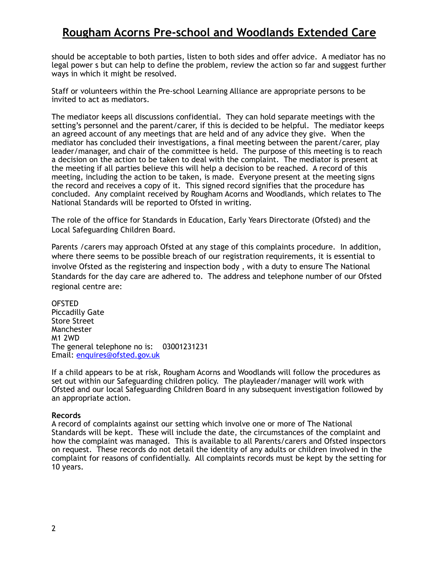## **Rougham Acorns Pre-school and Woodlands Extended Care**

should be acceptable to both parties, listen to both sides and offer advice. A mediator has no legal power s but can help to define the problem, review the action so far and suggest further ways in which it might be resolved.

Staff or volunteers within the Pre-school Learning Alliance are appropriate persons to be invited to act as mediators.

The mediator keeps all discussions confidential. They can hold separate meetings with the setting's personnel and the parent/carer, if this is decided to be helpful. The mediator keeps an agreed account of any meetings that are held and of any advice they give. When the mediator has concluded their investigations, a final meeting between the parent/carer, play leader/manager, and chair of the committee is held. The purpose of this meeting is to reach a decision on the action to be taken to deal with the complaint. The mediator is present at the meeting if all parties believe this will help a decision to be reached. A record of this meeting, including the action to be taken, is made. Everyone present at the meeting signs the record and receives a copy of it. This signed record signifies that the procedure has concluded. Any complaint received by Rougham Acorns and Woodlands, which relates to The National Standards will be reported to Ofsted in writing.

The role of the office for Standards in Education, Early Years Directorate (Ofsted) and the Local Safeguarding Children Board.

Parents /carers may approach Ofsted at any stage of this complaints procedure. In addition, where there seems to be possible breach of our registration requirements, it is essential to involve Ofsted as the registering and inspection body , with a duty to ensure The National Standards for the day care are adhered to. The address and telephone number of our Ofsted regional centre are:

**OFSTED** Piccadilly Gate Store Street Manchester M1 2WD The general telephone no is: 03001231231 Email: [enquires@ofsted.gov.uk](mailto:enquires@ofsted.gov.uk)

If a child appears to be at risk, Rougham Acorns and Woodlands will follow the procedures as set out within our Safeguarding children policy. The playleader/manager will work with Ofsted and our local Safeguarding Children Board in any subsequent investigation followed by an appropriate action.

#### **Records**

A record of complaints against our setting which involve one or more of The National Standards will be kept. These will include the date, the circumstances of the complaint and how the complaint was managed. This is available to all Parents/carers and Ofsted inspectors on request. These records do not detail the identity of any adults or children involved in the complaint for reasons of confidentially. All complaints records must be kept by the setting for 10 years.